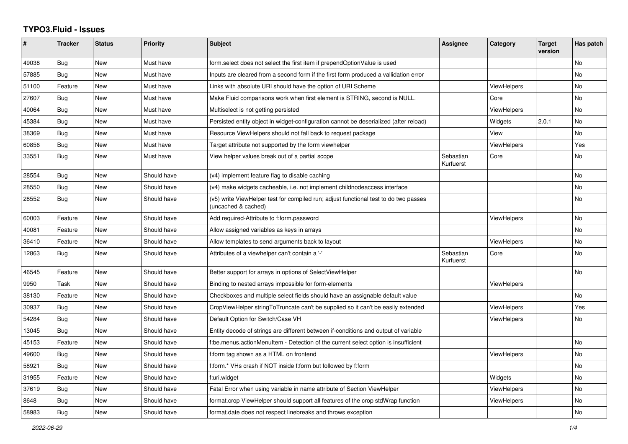## **TYPO3.Fluid - Issues**

| ∦     | <b>Tracker</b> | <b>Status</b> | <b>Priority</b> | Subject                                                                                                     | Assignee               | Category           | <b>Target</b><br>version | Has patch      |
|-------|----------------|---------------|-----------------|-------------------------------------------------------------------------------------------------------------|------------------------|--------------------|--------------------------|----------------|
| 49038 | <b>Bug</b>     | New           | Must have       | form.select does not select the first item if prependOptionValue is used                                    |                        |                    |                          | No             |
| 57885 | Bug            | New           | Must have       | Inputs are cleared from a second form if the first form produced a vallidation error                        |                        |                    |                          | <b>No</b>      |
| 51100 | Feature        | <b>New</b>    | Must have       | Links with absolute URI should have the option of URI Scheme                                                |                        | <b>ViewHelpers</b> |                          | No.            |
| 27607 | Bug            | <b>New</b>    | Must have       | Make Fluid comparisons work when first element is STRING, second is NULL.                                   |                        | Core               |                          | No             |
| 40064 | Bug            | New           | Must have       | Multiselect is not getting persisted                                                                        |                        | <b>ViewHelpers</b> |                          | <b>No</b>      |
| 45384 | Bug            | New           | Must have       | Persisted entity object in widget-configuration cannot be deserialized (after reload)                       |                        | Widgets            | 2.0.1                    | No             |
| 38369 | Bug            | New           | Must have       | Resource ViewHelpers should not fall back to request package                                                |                        | View               |                          | No             |
| 60856 | Bug            | New           | Must have       | Target attribute not supported by the form viewhelper                                                       |                        | ViewHelpers        |                          | Yes            |
| 33551 | Bug            | New           | Must have       | View helper values break out of a partial scope                                                             | Sebastian<br>Kurfuerst | Core               |                          | No             |
| 28554 | <b>Bug</b>     | <b>New</b>    | Should have     | (v4) implement feature flag to disable caching                                                              |                        |                    |                          | <b>No</b>      |
| 28550 | Bug            | New           | Should have     | (v4) make widgets cacheable, i.e. not implement childnodeaccess interface                                   |                        |                    |                          | No             |
| 28552 | Bug            | New           | Should have     | (v5) write ViewHelper test for compiled run; adjust functional test to do two passes<br>(uncached & cached) |                        |                    |                          | No             |
| 60003 | Feature        | <b>New</b>    | Should have     | Add required-Attribute to f:form.password                                                                   |                        | <b>ViewHelpers</b> |                          | No             |
| 40081 | Feature        | <b>New</b>    | Should have     | Allow assigned variables as keys in arrays                                                                  |                        |                    |                          | No             |
| 36410 | Feature        | New           | Should have     | Allow templates to send arguments back to layout                                                            |                        | <b>ViewHelpers</b> |                          | No             |
| 12863 | Bug            | New           | Should have     | Attributes of a viewhelper can't contain a '-'                                                              | Sebastian<br>Kurfuerst | Core               |                          | No             |
| 46545 | Feature        | New           | Should have     | Better support for arrays in options of SelectViewHelper                                                    |                        |                    |                          | No             |
| 9950  | Task           | New           | Should have     | Binding to nested arrays impossible for form-elements                                                       |                        | ViewHelpers        |                          |                |
| 38130 | Feature        | <b>New</b>    | Should have     | Checkboxes and multiple select fields should have an assignable default value                               |                        |                    |                          | N <sub>o</sub> |
| 30937 | Bug            | New           | Should have     | CropViewHelper stringToTruncate can't be supplied so it can't be easily extended                            |                        | <b>ViewHelpers</b> |                          | Yes            |
| 54284 | Bug            | New           | Should have     | Default Option for Switch/Case VH                                                                           |                        | <b>ViewHelpers</b> |                          | No             |
| 13045 | Bug            | New           | Should have     | Entity decode of strings are different between if-conditions and output of variable                         |                        |                    |                          |                |
| 45153 | Feature        | <b>New</b>    | Should have     | f:be.menus.actionMenuItem - Detection of the current select option is insufficient                          |                        |                    |                          | No             |
| 49600 | Bug            | New           | Should have     | f:form tag shown as a HTML on frontend                                                                      |                        | ViewHelpers        |                          | No.            |
| 58921 | Bug            | New           | Should have     | f:form.* VHs crash if NOT inside f:form but followed by f:form                                              |                        |                    |                          | No             |
| 31955 | Feature        | <b>New</b>    | Should have     | f:uri.widget                                                                                                |                        | Widgets            |                          | No.            |
| 37619 | Bug            | New           | Should have     | Fatal Error when using variable in name attribute of Section ViewHelper                                     |                        | ViewHelpers        |                          | No             |
| 8648  | Bug            | New           | Should have     | format.crop ViewHelper should support all features of the crop stdWrap function                             |                        | <b>ViewHelpers</b> |                          | No             |
| 58983 | Bug            | New           | Should have     | format.date does not respect linebreaks and throws exception                                                |                        |                    |                          | No             |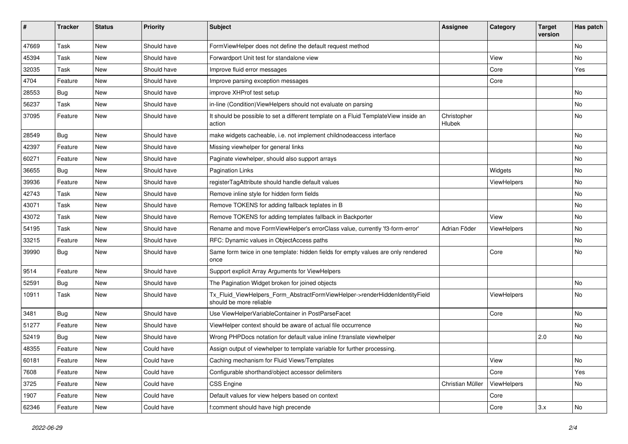| ∦     | <b>Tracker</b> | <b>Status</b> | <b>Priority</b> | <b>Subject</b>                                                                                         | <b>Assignee</b>              | Category    | <b>Target</b><br>version | Has patch |
|-------|----------------|---------------|-----------------|--------------------------------------------------------------------------------------------------------|------------------------------|-------------|--------------------------|-----------|
| 47669 | Task           | New           | Should have     | FormViewHelper does not define the default request method                                              |                              |             |                          | No        |
| 45394 | Task           | New           | Should have     | Forwardport Unit test for standalone view                                                              |                              | View        |                          | No        |
| 32035 | Task           | New           | Should have     | Improve fluid error messages                                                                           |                              | Core        |                          | Yes       |
| 4704  | Feature        | New           | Should have     | Improve parsing exception messages                                                                     |                              | Core        |                          |           |
| 28553 | Bug            | New           | Should have     | improve XHProf test setup                                                                              |                              |             |                          | No        |
| 56237 | Task           | New           | Should have     | in-line (Condition) ViewHelpers should not evaluate on parsing                                         |                              |             |                          | No        |
| 37095 | Feature        | New           | Should have     | It should be possible to set a different template on a Fluid TemplateView inside an<br>action          | Christopher<br><b>Hlubek</b> |             |                          | No        |
| 28549 | Bug            | New           | Should have     | make widgets cacheable, i.e. not implement childnodeaccess interface                                   |                              |             |                          | No        |
| 42397 | Feature        | New           | Should have     | Missing viewhelper for general links                                                                   |                              |             |                          | No        |
| 60271 | Feature        | New           | Should have     | Paginate viewhelper, should also support arrays                                                        |                              |             |                          | No        |
| 36655 | Bug            | New           | Should have     | <b>Pagination Links</b>                                                                                |                              | Widgets     |                          | No        |
| 39936 | Feature        | New           | Should have     | registerTagAttribute should handle default values                                                      |                              | ViewHelpers |                          | No        |
| 42743 | Task           | New           | Should have     | Remove inline style for hidden form fields                                                             |                              |             |                          | No        |
| 43071 | Task           | New           | Should have     | Remove TOKENS for adding fallback teplates in B                                                        |                              |             |                          | No        |
| 43072 | Task           | New           | Should have     | Remove TOKENS for adding templates fallback in Backporter                                              |                              | View        |                          | No        |
| 54195 | Task           | New           | Should have     | Rename and move FormViewHelper's errorClass value, currently 'f3-form-error'                           | Adrian Föder                 | ViewHelpers |                          | No        |
| 33215 | Feature        | New           | Should have     | RFC: Dynamic values in ObjectAccess paths                                                              |                              |             |                          | No        |
| 39990 | Bug            | New           | Should have     | Same form twice in one template: hidden fields for empty values are only rendered<br>once              |                              | Core        |                          | No        |
| 9514  | Feature        | <b>New</b>    | Should have     | Support explicit Array Arguments for ViewHelpers                                                       |                              |             |                          |           |
| 52591 | Bug            | New           | Should have     | The Pagination Widget broken for joined objects                                                        |                              |             |                          | No        |
| 10911 | Task           | New           | Should have     | Tx_Fluid_ViewHelpers_Form_AbstractFormViewHelper->renderHiddenIdentityField<br>should be more reliable |                              | ViewHelpers |                          | No        |
| 3481  | Bug            | New           | Should have     | Use ViewHelperVariableContainer in PostParseFacet                                                      |                              | Core        |                          | No        |
| 51277 | Feature        | New           | Should have     | ViewHelper context should be aware of actual file occurrence                                           |                              |             |                          | No        |
| 52419 | Bug            | <b>New</b>    | Should have     | Wrong PHPDocs notation for default value inline f:translate viewhelper                                 |                              |             | 2.0                      | No        |
| 48355 | Feature        | New           | Could have      | Assign output of viewhelper to template variable for further processing.                               |                              |             |                          |           |
| 60181 | Feature        | New           | Could have      | Caching mechanism for Fluid Views/Templates                                                            |                              | View        |                          | No        |
| 7608  | Feature        | New           | Could have      | Configurable shorthand/object accessor delimiters                                                      |                              | Core        |                          | Yes       |
| 3725  | Feature        | New           | Could have      | CSS Engine                                                                                             | Christian Müller             | ViewHelpers |                          | No        |
| 1907  | Feature        | New           | Could have      | Default values for view helpers based on context                                                       |                              | Core        |                          |           |
| 62346 | Feature        | New           | Could have      | f:comment should have high precende                                                                    |                              | Core        | 3.x                      | No        |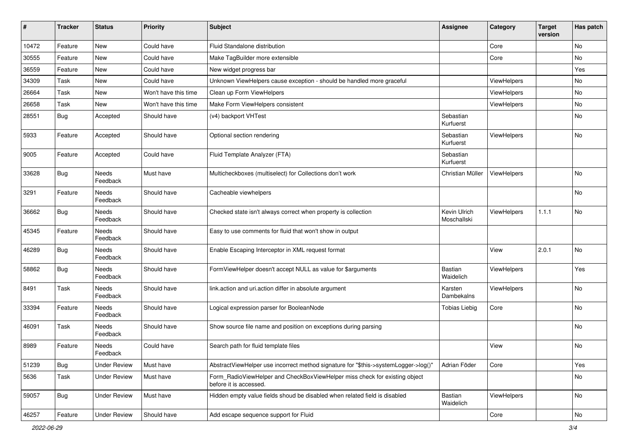| #     | <b>Tracker</b> | <b>Status</b>       | <b>Priority</b>      | Subject                                                                                              | <b>Assignee</b>             | Category    | <b>Target</b><br>version | Has patch      |
|-------|----------------|---------------------|----------------------|------------------------------------------------------------------------------------------------------|-----------------------------|-------------|--------------------------|----------------|
| 10472 | Feature        | New                 | Could have           | Fluid Standalone distribution                                                                        |                             | Core        |                          | No             |
| 30555 | Feature        | New                 | Could have           | Make TagBuilder more extensible                                                                      |                             | Core        |                          | No             |
| 36559 | Feature        | New                 | Could have           | New widget progress bar                                                                              |                             |             |                          | Yes            |
| 34309 | Task           | New                 | Could have           | Unknown ViewHelpers cause exception - should be handled more graceful                                |                             | ViewHelpers |                          | No             |
| 26664 | Task           | New                 | Won't have this time | Clean up Form ViewHelpers                                                                            |                             | ViewHelpers |                          | No             |
| 26658 | Task           | New                 | Won't have this time | Make Form ViewHelpers consistent                                                                     |                             | ViewHelpers |                          | No             |
| 28551 | Bug            | Accepted            | Should have          | (v4) backport VHTest                                                                                 | Sebastian<br>Kurfuerst      |             |                          | No             |
| 5933  | Feature        | Accepted            | Should have          | Optional section rendering                                                                           | Sebastian<br>Kurfuerst      | ViewHelpers |                          | No             |
| 9005  | Feature        | Accepted            | Could have           | Fluid Template Analyzer (FTA)                                                                        | Sebastian<br>Kurfuerst      |             |                          |                |
| 33628 | <b>Bug</b>     | Needs<br>Feedback   | Must have            | Multicheckboxes (multiselect) for Collections don't work                                             | Christian Müller            | ViewHelpers |                          | No             |
| 3291  | Feature        | Needs<br>Feedback   | Should have          | Cacheable viewhelpers                                                                                |                             |             |                          | N <sub>o</sub> |
| 36662 | Bug            | Needs<br>Feedback   | Should have          | Checked state isn't always correct when property is collection                                       | Kevin Ulrich<br>Moschallski | ViewHelpers | 1.1.1                    | No             |
| 45345 | Feature        | Needs<br>Feedback   | Should have          | Easy to use comments for fluid that won't show in output                                             |                             |             |                          |                |
| 46289 | Bug            | Needs<br>Feedback   | Should have          | Enable Escaping Interceptor in XML request format                                                    |                             | View        | 2.0.1                    | No             |
| 58862 | Bug            | Needs<br>Feedback   | Should have          | FormViewHelper doesn't accept NULL as value for \$arguments                                          | Bastian<br>Waidelich        | ViewHelpers |                          | Yes            |
| 8491  | Task           | Needs<br>Feedback   | Should have          | link.action and uri.action differ in absolute argument                                               | Karsten<br>Dambekalns       | ViewHelpers |                          | No             |
| 33394 | Feature        | Needs<br>Feedback   | Should have          | Logical expression parser for BooleanNode                                                            | <b>Tobias Liebig</b>        | Core        |                          | No             |
| 46091 | Task           | Needs<br>Feedback   | Should have          | Show source file name and position on exceptions during parsing                                      |                             |             |                          | No             |
| 8989  | Feature        | Needs<br>Feedback   | Could have           | Search path for fluid template files                                                                 |                             | View        |                          | <b>No</b>      |
| 51239 | Bug            | <b>Under Review</b> | Must have            | AbstractViewHelper use incorrect method signature for "\$this->systemLogger->log()"                  | Adrian Föder                | Core        |                          | Yes            |
| 5636  | Task           | <b>Under Review</b> | Must have            | Form_RadioViewHelper and CheckBoxViewHelper miss check for existing object<br>before it is accessed. |                             |             |                          | No             |
| 59057 | Bug            | <b>Under Review</b> | Must have            | Hidden empty value fields shoud be disabled when related field is disabled                           | Bastian<br>Waidelich        | ViewHelpers |                          | No             |
| 46257 | Feature        | <b>Under Review</b> | Should have          | Add escape sequence support for Fluid                                                                |                             | Core        |                          | No             |